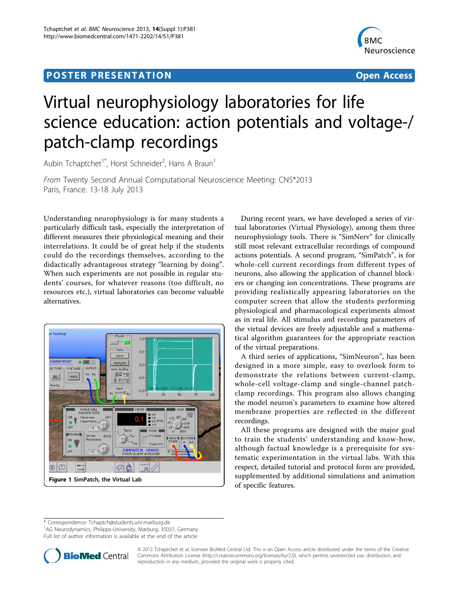## Post Experimental Police in the St English Police in the St English Police in the St English Police in the St<br>Police in the St English Police in the St English Police in the St English Police in the St English Police in



## Virtual neurophysiology laboratories for life science education: action potentials and voltage-/ patch-clamp recordings

Aubin Tchaptchet<sup>1\*</sup>, Horst Schneider<sup>2</sup>, Hans A Braun<sup>1</sup>

From Twenty Second Annual Computational Neuroscience Meeting: CNS\*2013 Paris, France. 13-18 July 2013

Understanding neurophysiology is for many students a particularly difficult task, especially the interpretation of different measures their physiological meaning and their interrelations. It could be of great help if the students could do the recordings themselves, according to the didactically advantageous strategy "learning by doing". When such experiments are not possible in regular students' courses, for whatever reasons (too difficult, no resources etc.), virtual laboratories can become valuable alternatives.



During recent years, we have developed a series of virtual laboratories (Virtual Physiology), among them three neurophysiology tools. There is "SimNerv" for clinically still most relevant extracellular recordings of compound actions potentials. A second program, "SimPatch", is for whole-cell current recordings from different types of neurons, also allowing the application of channel blockers or changing ion concentrations. These programs are providing realistically appearing laboratories on the computer screen that allow the students performing physiological and pharmacological experiments almost as in real life. All stimulus and recording parameters of the virtual devices are freely adjustable and a mathematical algorithm guarantees for the appropriate reaction of the virtual preparations.

A third series of applications, "SimNeuron", has been designed in a more simple, easy to overlook form to demonstrate the relations between current-clamp, whole-cell voltage-clamp and single-channel patchclamp recordings. This program also allows changing the model neuron's parameters to examine how altered membrane properties are reflected in the different recordings.

All these programs are designed with the major goal to train the students' understanding and know-how, although factual knowledge is a prerequisite for systematic experimentation in the virtual labs. With this respect, detailed tutorial and protocol form are provided, supplemented by additional simulations and animation of specific features.

\* Correspondence: [Tchaptch@students.uni-marburg.de](mailto:Tchaptch@students.uni-marburg.de)

<sup>1</sup>AG Neurodynamics, Philipps-University, Marburg, 35037, Germany

Full list of author information is available at the end of the article



© 2013 Tchaptchet et al; licensee BioMed Central Ltd. This is an Open Access article distributed under the terms of the Creative Commons Attribution License [\(http://creativecommons.org/licenses/by/2.0](http://creativecommons.org/licenses/by/2.0)), which permits unrestricted use, distribution, and reproduction in any medium, provided the original work is properly cited.